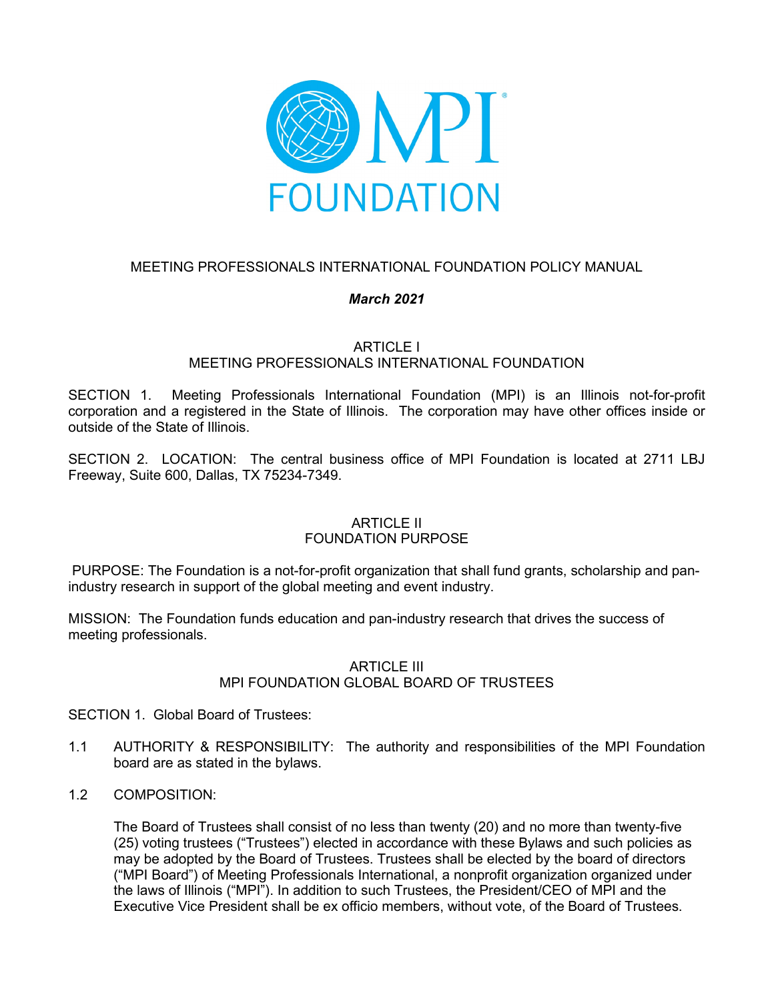

# MEETING PROFESSIONALS INTERNATIONAL FOUNDATION POLICY MANUAL

# *March 2021*

ARTICLE I

# MEETING PROFESSIONALS INTERNATIONAL FOUNDATION

SECTION 1. Meeting Professionals International Foundation (MPI) is an Illinois not-for-profit corporation and a registered in the State of Illinois. The corporation may have other offices inside or outside of the State of Illinois.

SECTION 2. LOCATION: The central business office of MPI Foundation is located at 2711 LBJ Freeway, Suite 600, Dallas, TX 75234-7349.

# ARTICLE II FOUNDATION PURPOSE

PURPOSE: The Foundation is a not-for-profit organization that shall fund grants, scholarship and panindustry research in support of the global meeting and event industry.

MISSION: The Foundation funds education and pan-industry research that drives the success of meeting professionals.

# ARTICLE III MPI FOUNDATION GLOBAL BOARD OF TRUSTEES

SECTION 1. Global Board of Trustees:

- 1.1 AUTHORITY & RESPONSIBILITY: The authority and responsibilities of the MPI Foundation board are as stated in the bylaws.
- 1.2 COMPOSITION:

The Board of Trustees shall consist of no less than twenty (20) and no more than twenty-five (25) voting trustees ("Trustees") elected in accordance with these Bylaws and such policies as may be adopted by the Board of Trustees. Trustees shall be elected by the board of directors ("MPI Board") of Meeting Professionals International, a nonprofit organization organized under the laws of Illinois ("MPI"). In addition to such Trustees, the President/CEO of MPI and the Executive Vice President shall be ex officio members, without vote, of the Board of Trustees.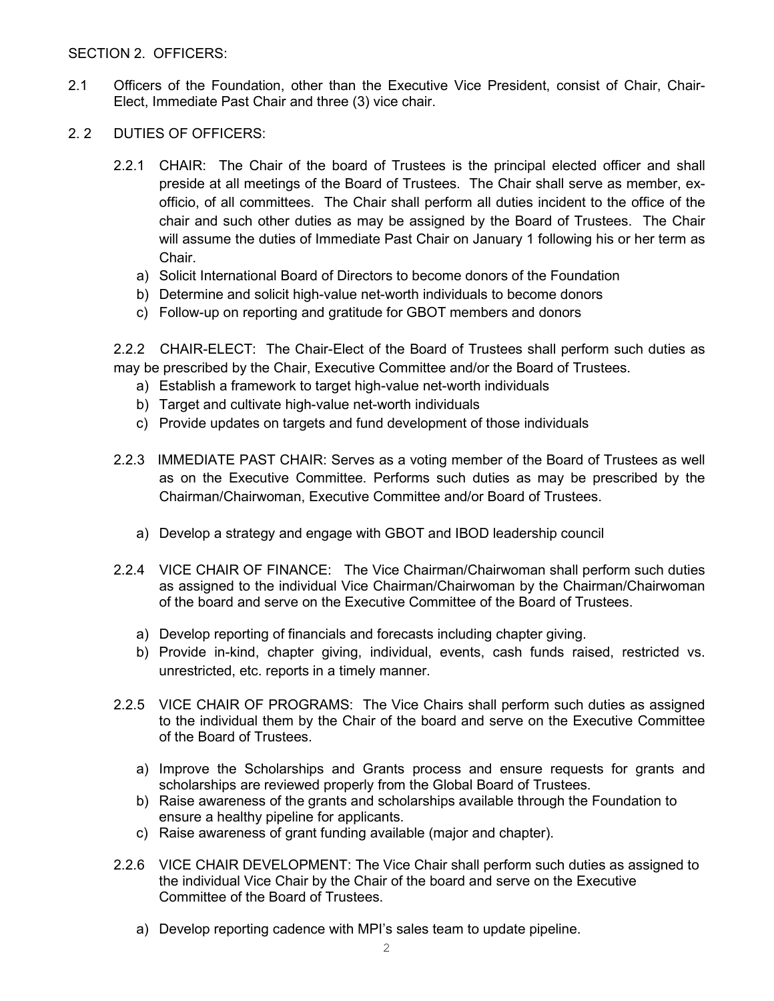## SECTION 2. OFFICERS:

- 2.1 Officers of the Foundation, other than the Executive Vice President, consist of Chair, Chair-Elect, Immediate Past Chair and three (3) vice chair.
- 2. 2 DUTIES OF OFFICERS:
	- 2.2.1 CHAIR: The Chair of the board of Trustees is the principal elected officer and shall preside at all meetings of the Board of Trustees. The Chair shall serve as member, exofficio, of all committees. The Chair shall perform all duties incident to the office of the chair and such other duties as may be assigned by the Board of Trustees. The Chair will assume the duties of Immediate Past Chair on January 1 following his or her term as Chair.
		- a) Solicit International Board of Directors to become donors of the Foundation
		- b) Determine and solicit high-value net-worth individuals to become donors
		- c) Follow-up on reporting and gratitude for GBOT members and donors

2.2.2 CHAIR-ELECT: The Chair-Elect of the Board of Trustees shall perform such duties as may be prescribed by the Chair, Executive Committee and/or the Board of Trustees.

- a) Establish a framework to target high-value net-worth individuals
- b) Target and cultivate high-value net-worth individuals
- c) Provide updates on targets and fund development of those individuals
- 2.2.3 IMMEDIATE PAST CHAIR: Serves as a voting member of the Board of Trustees as well as on the Executive Committee. Performs such duties as may be prescribed by the Chairman/Chairwoman, Executive Committee and/or Board of Trustees.
	- a) Develop a strategy and engage with GBOT and IBOD leadership council
- 2.2.4 VICE CHAIR OF FINANCE: The Vice Chairman/Chairwoman shall perform such duties as assigned to the individual Vice Chairman/Chairwoman by the Chairman/Chairwoman of the board and serve on the Executive Committee of the Board of Trustees.
	- a) Develop reporting of financials and forecasts including chapter giving.
	- b) Provide in-kind, chapter giving, individual, events, cash funds raised, restricted vs. unrestricted, etc. reports in a timely manner.
- 2.2.5 VICE CHAIR OF PROGRAMS: The Vice Chairs shall perform such duties as assigned to the individual them by the Chair of the board and serve on the Executive Committee of the Board of Trustees.
	- a) Improve the Scholarships and Grants process and ensure requests for grants and scholarships are reviewed properly from the Global Board of Trustees.
	- b) Raise awareness of the grants and scholarships available through the Foundation to ensure a healthy pipeline for applicants.
	- c) Raise awareness of grant funding available (major and chapter).
- 2.2.6 VICE CHAIR DEVELOPMENT: The Vice Chair shall perform such duties as assigned to the individual Vice Chair by the Chair of the board and serve on the Executive Committee of the Board of Trustees.
	- a) Develop reporting cadence with MPI's sales team to update pipeline.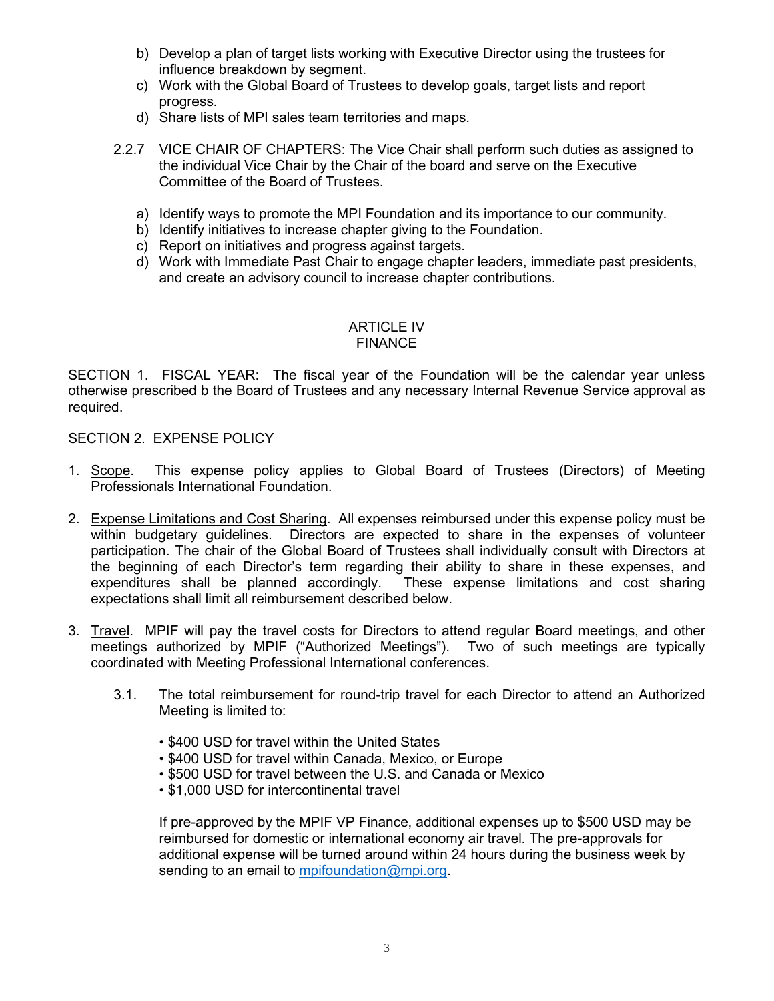- b) Develop a plan of target lists working with Executive Director using the trustees for influence breakdown by segment.
- c) Work with the Global Board of Trustees to develop goals, target lists and report progress.
- d) Share lists of MPI sales team territories and maps.
- 2.2.7 VICE CHAIR OF CHAPTERS: The Vice Chair shall perform such duties as assigned to the individual Vice Chair by the Chair of the board and serve on the Executive Committee of the Board of Trustees.
	- a) Identify ways to promote the MPI Foundation and its importance to our community.
	- b) Identify initiatives to increase chapter giving to the Foundation.
	- c) Report on initiatives and progress against targets.
	- d) Work with Immediate Past Chair to engage chapter leaders, immediate past presidents, and create an advisory council to increase chapter contributions.

## ARTICLE IV FINANCE

SECTION 1. FISCAL YEAR: The fiscal year of the Foundation will be the calendar year unless otherwise prescribed b the Board of Trustees and any necessary Internal Revenue Service approval as required.

## SECTION 2. EXPENSE POLICY

- 1. Scope. This expense policy applies to Global Board of Trustees (Directors) of Meeting Professionals International Foundation.
- 2. Expense Limitations and Cost Sharing. All expenses reimbursed under this expense policy must be within budgetary guidelines. Directors are expected to share in the expenses of volunteer participation. The chair of the Global Board of Trustees shall individually consult with Directors at the beginning of each Director's term regarding their ability to share in these expenses, and expenditures shall be planned accordingly. These expense limitations and cost sharing expectations shall limit all reimbursement described below.
- 3. Travel. MPIF will pay the travel costs for Directors to attend regular Board meetings, and other meetings authorized by MPIF ("Authorized Meetings"). Two of such meetings are typically coordinated with Meeting Professional International conferences.
	- 3.1. The total reimbursement for round-trip travel for each Director to attend an Authorized Meeting is limited to:
		- \$400 USD for travel within the United States
		- \$400 USD for travel within Canada, Mexico, or Europe
		- \$500 USD for travel between the U.S. and Canada or Mexico
		- \$1,000 USD for intercontinental travel

If pre-approved by the MPIF VP Finance, additional expenses up to \$500 USD may be reimbursed for domestic or international economy air travel. The pre-approvals for additional expense will be turned around within 24 hours during the business week by sending to an email to [mpifoundation@mpi.org.](mailto:mpifoundation@mpi.org)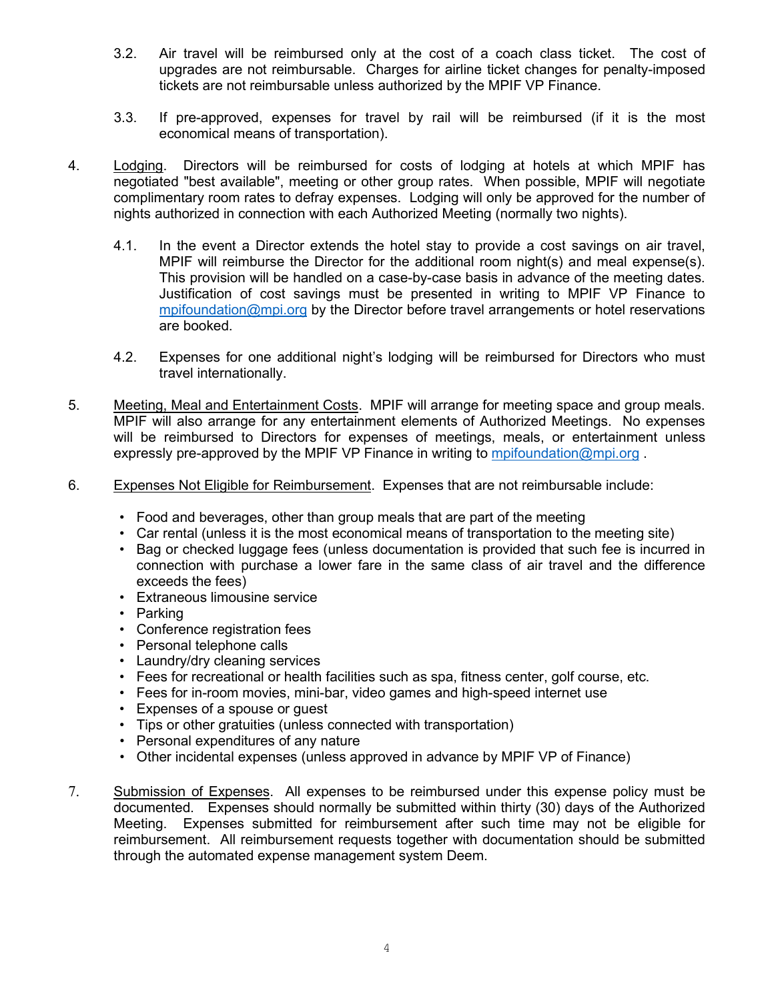- 3.2. Air travel will be reimbursed only at the cost of a coach class ticket. The cost of upgrades are not reimbursable. Charges for airline ticket changes for penalty-imposed tickets are not reimbursable unless authorized by the MPIF VP Finance.
- 3.3. If pre-approved, expenses for travel by rail will be reimbursed (if it is the most economical means of transportation).
- 4. Lodging. Directors will be reimbursed for costs of lodging at hotels at which MPIF has negotiated "best available", meeting or other group rates. When possible, MPIF will negotiate complimentary room rates to defray expenses. Lodging will only be approved for the number of nights authorized in connection with each Authorized Meeting (normally two nights).
	- 4.1. In the event a Director extends the hotel stay to provide a cost savings on air travel, MPIF will reimburse the Director for the additional room night(s) and meal expense(s). This provision will be handled on a case-by-case basis in advance of the meeting dates. Justification of cost savings must be presented in writing to MPIF VP Finance to [mpifoundation@mpi.org](mailto:mpifoundation@mpi.org) by the Director before travel arrangements or hotel reservations are booked.
	- 4.2. Expenses for one additional night's lodging will be reimbursed for Directors who must travel internationally.
- 5. Meeting, Meal and Entertainment Costs. MPIF will arrange for meeting space and group meals. MPIF will also arrange for any entertainment elements of Authorized Meetings. No expenses will be reimbursed to Directors for expenses of meetings, meals, or entertainment unless expressly pre-approved by the MPIF VP Finance in writing to [mpifoundation@mpi.org](mailto:mpifoundation@mpi.org).
- 6. Expenses Not Eligible for Reimbursement. Expenses that are not reimbursable include:
	- Food and beverages, other than group meals that are part of the meeting
	- Car rental (unless it is the most economical means of transportation to the meeting site)
	- Bag or checked luggage fees (unless documentation is provided that such fee is incurred in connection with purchase a lower fare in the same class of air travel and the difference exceeds the fees)
	- Extraneous limousine service
	- Parking
	- Conference registration fees
	- Personal telephone calls
	- Laundry/dry cleaning services
	- Fees for recreational or health facilities such as spa, fitness center, golf course, etc.
	- Fees for in-room movies, mini-bar, video games and high-speed internet use
	- Expenses of a spouse or guest
	- Tips or other gratuities (unless connected with transportation)
	- Personal expenditures of any nature
	- Other incidental expenses (unless approved in advance by MPIF VP of Finance)
- 7. Submission of Expenses. All expenses to be reimbursed under this expense policy must be documented. Expenses should normally be submitted within thirty (30) days of the Authorized Meeting. Expenses submitted for reimbursement after such time may not be eligible for reimbursement. All reimbursement requests together with documentation should be submitted through the automated expense management system Deem.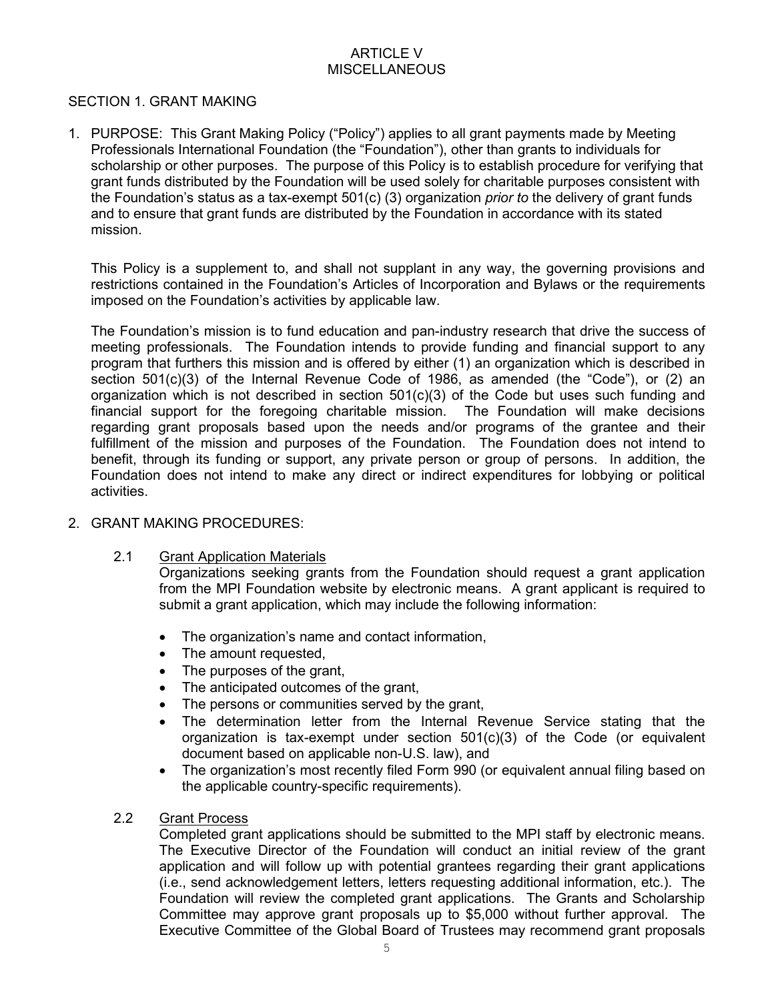# ARTICLE V MISCELLANEOUS

# SECTION 1. GRANT MAKING

1. PURPOSE: This Grant Making Policy ("Policy") applies to all grant payments made by Meeting Professionals International Foundation (the "Foundation"), other than grants to individuals for scholarship or other purposes. The purpose of this Policy is to establish procedure for verifying that grant funds distributed by the Foundation will be used solely for charitable purposes consistent with the Foundation's status as a tax-exempt 501(c) (3) organization *prior to* the delivery of grant funds and to ensure that grant funds are distributed by the Foundation in accordance with its stated mission.

This Policy is a supplement to, and shall not supplant in any way, the governing provisions and restrictions contained in the Foundation's Articles of Incorporation and Bylaws or the requirements imposed on the Foundation's activities by applicable law.

The Foundation's mission is to fund education and pan-industry research that drive the success of meeting professionals. The Foundation intends to provide funding and financial support to any program that furthers this mission and is offered by either (1) an organization which is described in section 501(c)(3) of the Internal Revenue Code of 1986, as amended (the "Code"), or (2) an organization which is not described in section 501(c)(3) of the Code but uses such funding and financial support for the foregoing charitable mission. The Foundation will make decisions regarding grant proposals based upon the needs and/or programs of the grantee and their fulfillment of the mission and purposes of the Foundation. The Foundation does not intend to benefit, through its funding or support, any private person or group of persons. In addition, the Foundation does not intend to make any direct or indirect expenditures for lobbying or political activities.

# 2. GRANT MAKING PROCEDURES:

# 2.1 Grant Application Materials

Organizations seeking grants from the Foundation should request a grant application from the MPI Foundation website by electronic means. A grant applicant is required to submit a grant application, which may include the following information:

- The organization's name and contact information,
- The amount requested,
- The purposes of the grant,
- The anticipated outcomes of the grant,
- The persons or communities served by the grant,
- The determination letter from the Internal Revenue Service stating that the organization is tax-exempt under section 501(c)(3) of the Code (or equivalent document based on applicable non-U.S. law), and
- The organization's most recently filed Form 990 (or equivalent annual filing based on the applicable country-specific requirements).

#### 2.2 Grant Process

Completed grant applications should be submitted to the MPI staff by electronic means. The Executive Director of the Foundation will conduct an initial review of the grant application and will follow up with potential grantees regarding their grant applications (i.e., send acknowledgement letters, letters requesting additional information, etc.). The Foundation will review the completed grant applications. The Grants and Scholarship Committee may approve grant proposals up to \$5,000 without further approval. The Executive Committee of the Global Board of Trustees may recommend grant proposals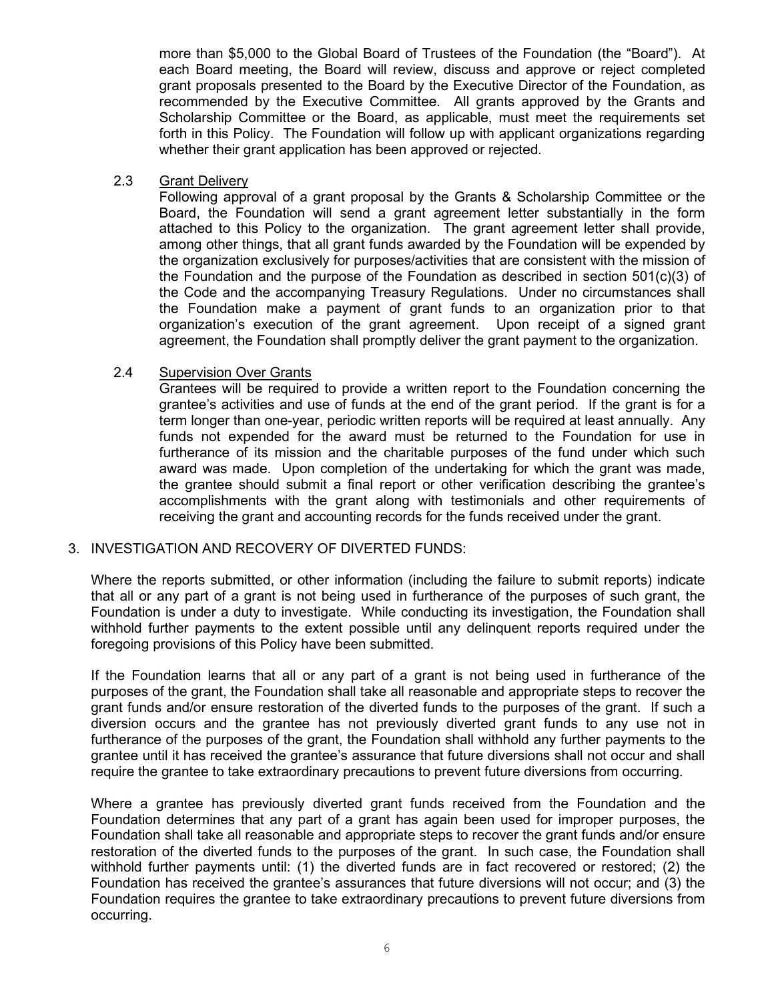more than \$5,000 to the Global Board of Trustees of the Foundation (the "Board"). At each Board meeting, the Board will review, discuss and approve or reject completed grant proposals presented to the Board by the Executive Director of the Foundation, as recommended by the Executive Committee. All grants approved by the Grants and Scholarship Committee or the Board, as applicable, must meet the requirements set forth in this Policy. The Foundation will follow up with applicant organizations regarding whether their grant application has been approved or rejected.

## 2.3 Grant Delivery

Following approval of a grant proposal by the Grants & Scholarship Committee or the Board, the Foundation will send a grant agreement letter substantially in the form attached to this Policy to the organization. The grant agreement letter shall provide, among other things, that all grant funds awarded by the Foundation will be expended by the organization exclusively for purposes/activities that are consistent with the mission of the Foundation and the purpose of the Foundation as described in section 501(c)(3) of the Code and the accompanying Treasury Regulations. Under no circumstances shall the Foundation make a payment of grant funds to an organization prior to that organization's execution of the grant agreement. Upon receipt of a signed grant agreement, the Foundation shall promptly deliver the grant payment to the organization.

## 2.4 Supervision Over Grants

Grantees will be required to provide a written report to the Foundation concerning the grantee's activities and use of funds at the end of the grant period. If the grant is for a term longer than one-year, periodic written reports will be required at least annually. Any funds not expended for the award must be returned to the Foundation for use in furtherance of its mission and the charitable purposes of the fund under which such award was made. Upon completion of the undertaking for which the grant was made, the grantee should submit a final report or other verification describing the grantee's accomplishments with the grant along with testimonials and other requirements of receiving the grant and accounting records for the funds received under the grant.

#### 3. INVESTIGATION AND RECOVERY OF DIVERTED FUNDS:

Where the reports submitted, or other information (including the failure to submit reports) indicate that all or any part of a grant is not being used in furtherance of the purposes of such grant, the Foundation is under a duty to investigate. While conducting its investigation, the Foundation shall withhold further payments to the extent possible until any delinquent reports required under the foregoing provisions of this Policy have been submitted.

If the Foundation learns that all or any part of a grant is not being used in furtherance of the purposes of the grant, the Foundation shall take all reasonable and appropriate steps to recover the grant funds and/or ensure restoration of the diverted funds to the purposes of the grant. If such a diversion occurs and the grantee has not previously diverted grant funds to any use not in furtherance of the purposes of the grant, the Foundation shall withhold any further payments to the grantee until it has received the grantee's assurance that future diversions shall not occur and shall require the grantee to take extraordinary precautions to prevent future diversions from occurring.

Where a grantee has previously diverted grant funds received from the Foundation and the Foundation determines that any part of a grant has again been used for improper purposes, the Foundation shall take all reasonable and appropriate steps to recover the grant funds and/or ensure restoration of the diverted funds to the purposes of the grant. In such case, the Foundation shall withhold further payments until: (1) the diverted funds are in fact recovered or restored; (2) the Foundation has received the grantee's assurances that future diversions will not occur; and (3) the Foundation requires the grantee to take extraordinary precautions to prevent future diversions from occurring.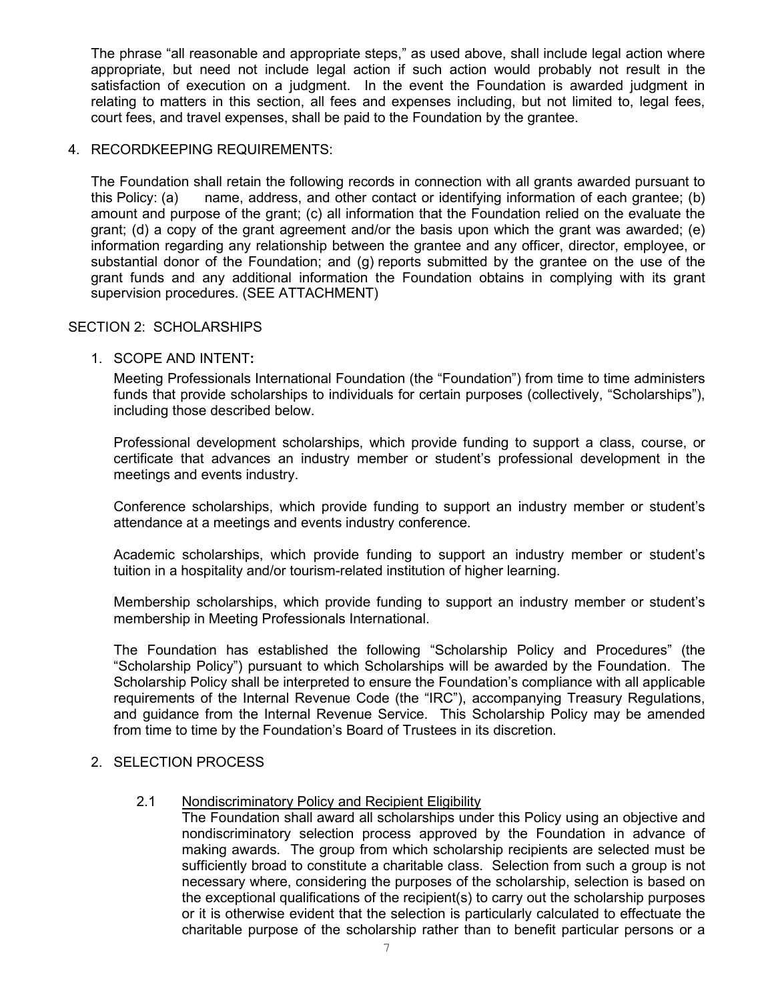The phrase "all reasonable and appropriate steps," as used above, shall include legal action where appropriate, but need not include legal action if such action would probably not result in the satisfaction of execution on a judgment. In the event the Foundation is awarded judgment in relating to matters in this section, all fees and expenses including, but not limited to, legal fees, court fees, and travel expenses, shall be paid to the Foundation by the grantee.

## 4. RECORDKEEPING REQUIREMENTS:

The Foundation shall retain the following records in connection with all grants awarded pursuant to this Policy: (a) name, address, and other contact or identifying information of each grantee; (b) amount and purpose of the grant; (c) all information that the Foundation relied on the evaluate the grant; (d) a copy of the grant agreement and/or the basis upon which the grant was awarded; (e) information regarding any relationship between the grantee and any officer, director, employee, or substantial donor of the Foundation; and (g) reports submitted by the grantee on the use of the grant funds and any additional information the Foundation obtains in complying with its grant supervision procedures. (SEE ATTACHMENT)

# SECTION 2: SCHOLARSHIPS

## 1. SCOPE AND INTENT**:**

Meeting Professionals International Foundation (the "Foundation") from time to time administers funds that provide scholarships to individuals for certain purposes (collectively, "Scholarships"), including those described below.

Professional development scholarships, which provide funding to support a class, course, or certificate that advances an industry member or student's professional development in the meetings and events industry.

Conference scholarships, which provide funding to support an industry member or student's attendance at a meetings and events industry conference.

Academic scholarships, which provide funding to support an industry member or student's tuition in a hospitality and/or tourism-related institution of higher learning.

Membership scholarships, which provide funding to support an industry member or student's membership in Meeting Professionals International.

The Foundation has established the following "Scholarship Policy and Procedures" (the "Scholarship Policy") pursuant to which Scholarships will be awarded by the Foundation. The Scholarship Policy shall be interpreted to ensure the Foundation's compliance with all applicable requirements of the Internal Revenue Code (the "IRC"), accompanying Treasury Regulations, and guidance from the Internal Revenue Service. This Scholarship Policy may be amended from time to time by the Foundation's Board of Trustees in its discretion.

#### 2. SELECTION PROCESS

#### 2.1 Nondiscriminatory Policy and Recipient Eligibility

The Foundation shall award all scholarships under this Policy using an objective and nondiscriminatory selection process approved by the Foundation in advance of making awards. The group from which scholarship recipients are selected must be sufficiently broad to constitute a charitable class. Selection from such a group is not necessary where, considering the purposes of the scholarship, selection is based on the exceptional qualifications of the recipient(s) to carry out the scholarship purposes or it is otherwise evident that the selection is particularly calculated to effectuate the charitable purpose of the scholarship rather than to benefit particular persons or a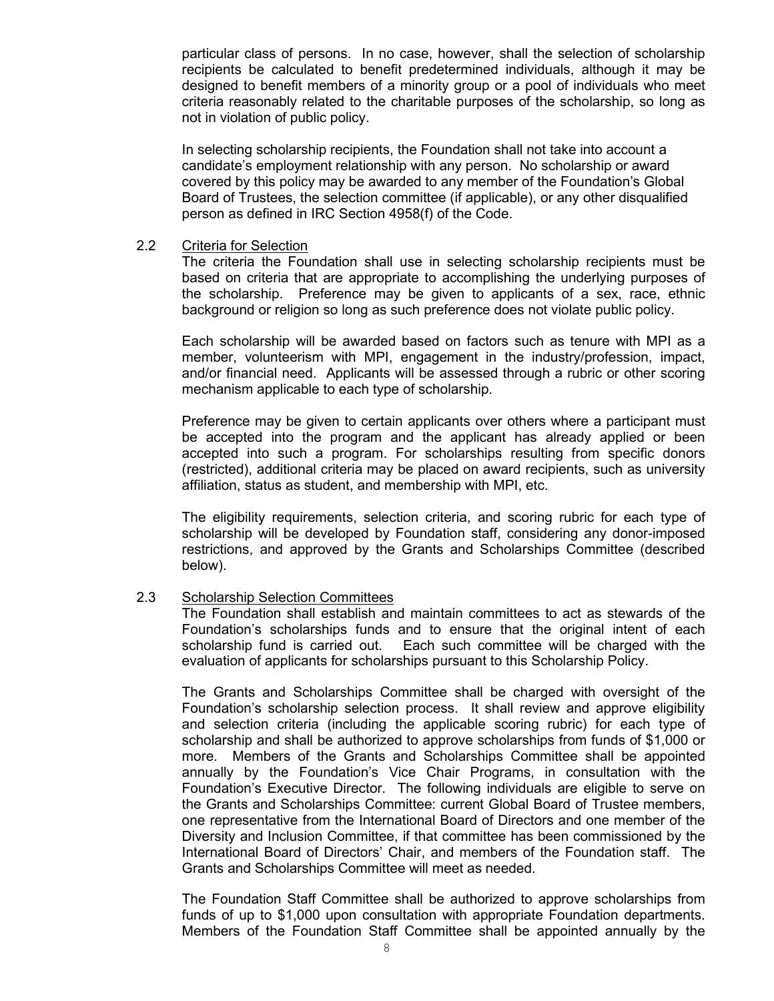particular class of persons. In no case, however, shall the selection of scholarship recipients be calculated to benefit predetermined individuals, although it may be designed to benefit members of a minority group or a pool of individuals who meet criteria reasonably related to the charitable purposes of the scholarship, so long as not in violation of public policy.

In selecting scholarship recipients, the Foundation shall not take into account a candidate's employment relationship with any person. No scholarship or award covered by this policy may be awarded to any member of the Foundation's Global Board of Trustees, the selection committee (if applicable), or any other disqualified person as defined in IRC Section 4958(f) of the Code.

#### 2.2 Criteria for Selection

The criteria the Foundation shall use in selecting scholarship recipients must be based on criteria that are appropriate to accomplishing the underlying purposes of the scholarship. Preference may be given to applicants of a sex, race, ethnic background or religion so long as such preference does not violate public policy.

Each scholarship will be awarded based on factors such as tenure with MPI as a member, volunteerism with MPI, engagement in the industry/profession, impact, and/or financial need. Applicants will be assessed through a rubric or other scoring mechanism applicable to each type of scholarship.

Preference may be given to certain applicants over others where a participant must be accepted into the program and the applicant has already applied or been accepted into such a program. For scholarships resulting from specific donors (restricted), additional criteria may be placed on award recipients, such as university affiliation, status as student, and membership with MPI, etc.

The eligibility requirements, selection criteria, and scoring rubric for each type of scholarship will be developed by Foundation staff, considering any donor-imposed restrictions, and approved by the Grants and Scholarships Committee (described below).

#### 2.3 Scholarship Selection Committees

The Foundation shall establish and maintain committees to act as stewards of the Foundation's scholarships funds and to ensure that the original intent of each scholarship fund is carried out. Each such committee will be charged with the evaluation of applicants for scholarships pursuant to this Scholarship Policy.

The Grants and Scholarships Committee shall be charged with oversight of the Foundation's scholarship selection process. It shall review and approve eligibility and selection criteria (including the applicable scoring rubric) for each type of scholarship and shall be authorized to approve scholarships from funds of \$1,000 or more. Members of the Grants and Scholarships Committee shall be appointed annually by the Foundation's Vice Chair Programs, in consultation with the Foundation's Executive Director. The following individuals are eligible to serve on the Grants and Scholarships Committee: current Global Board of Trustee members, one representative from the International Board of Directors and one member of the Diversity and Inclusion Committee, if that committee has been commissioned by the International Board of Directors' Chair, and members of the Foundation staff. The Grants and Scholarships Committee will meet as needed.

The Foundation Staff Committee shall be authorized to approve scholarships from funds of up to \$1,000 upon consultation with appropriate Foundation departments. Members of the Foundation Staff Committee shall be appointed annually by the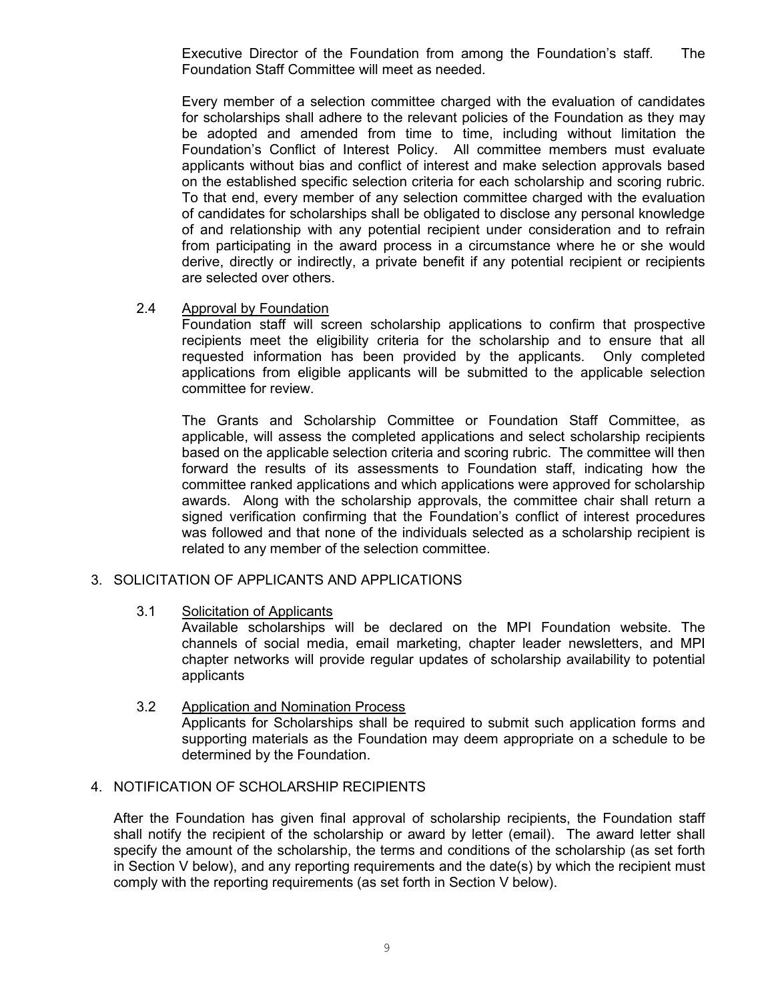Executive Director of the Foundation from among the Foundation's staff. The Foundation Staff Committee will meet as needed.

Every member of a selection committee charged with the evaluation of candidates for scholarships shall adhere to the relevant policies of the Foundation as they may be adopted and amended from time to time, including without limitation the Foundation's Conflict of Interest Policy. All committee members must evaluate applicants without bias and conflict of interest and make selection approvals based on the established specific selection criteria for each scholarship and scoring rubric. To that end, every member of any selection committee charged with the evaluation of candidates for scholarships shall be obligated to disclose any personal knowledge of and relationship with any potential recipient under consideration and to refrain from participating in the award process in a circumstance where he or she would derive, directly or indirectly, a private benefit if any potential recipient or recipients are selected over others.

## 2.4 Approval by Foundation

Foundation staff will screen scholarship applications to confirm that prospective recipients meet the eligibility criteria for the scholarship and to ensure that all requested information has been provided by the applicants. Only completed applications from eligible applicants will be submitted to the applicable selection committee for review.

The Grants and Scholarship Committee or Foundation Staff Committee, as applicable, will assess the completed applications and select scholarship recipients based on the applicable selection criteria and scoring rubric. The committee will then forward the results of its assessments to Foundation staff, indicating how the committee ranked applications and which applications were approved for scholarship awards. Along with the scholarship approvals, the committee chair shall return a signed verification confirming that the Foundation's conflict of interest procedures was followed and that none of the individuals selected as a scholarship recipient is related to any member of the selection committee.

# 3. SOLICITATION OF APPLICANTS AND APPLICATIONS

3.1 Solicitation of Applicants

Available scholarships will be declared on the MPI Foundation website. The channels of social media, email marketing, chapter leader newsletters, and MPI chapter networks will provide regular updates of scholarship availability to potential applicants

3.2 Application and Nomination Process Applicants for Scholarships shall be required to submit such application forms and supporting materials as the Foundation may deem appropriate on a schedule to be determined by the Foundation.

# 4. NOTIFICATION OF SCHOLARSHIP RECIPIENTS

After the Foundation has given final approval of scholarship recipients, the Foundation staff shall notify the recipient of the scholarship or award by letter (email). The award letter shall specify the amount of the scholarship, the terms and conditions of the scholarship (as set forth in Section V below), and any reporting requirements and the date(s) by which the recipient must comply with the reporting requirements (as set forth in Section V below).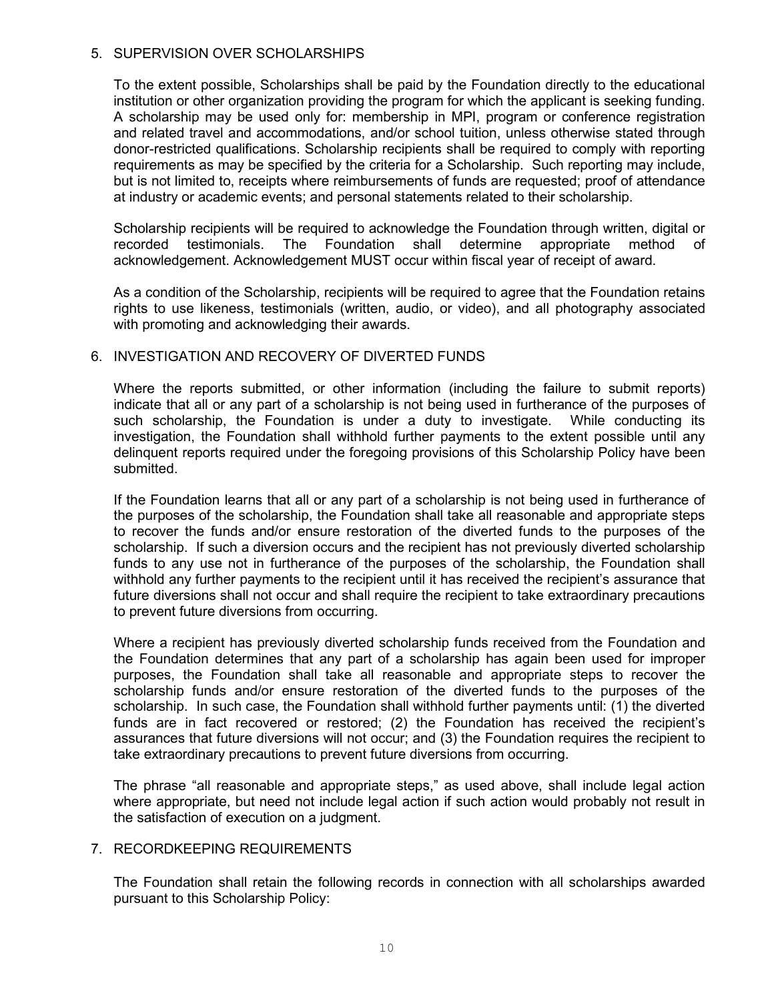## 5. SUPERVISION OVER SCHOLARSHIPS

To the extent possible, Scholarships shall be paid by the Foundation directly to the educational institution or other organization providing the program for which the applicant is seeking funding. A scholarship may be used only for: membership in MPI, program or conference registration and related travel and accommodations, and/or school tuition, unless otherwise stated through donor-restricted qualifications. Scholarship recipients shall be required to comply with reporting requirements as may be specified by the criteria for a Scholarship. Such reporting may include, but is not limited to, receipts where reimbursements of funds are requested; proof of attendance at industry or academic events; and personal statements related to their scholarship.

Scholarship recipients will be required to acknowledge the Foundation through written, digital or recorded testimonials. The Foundation shall determine appropriate method of acknowledgement. Acknowledgement MUST occur within fiscal year of receipt of award.

As a condition of the Scholarship, recipients will be required to agree that the Foundation retains rights to use likeness, testimonials (written, audio, or video), and all photography associated with promoting and acknowledging their awards.

## 6. INVESTIGATION AND RECOVERY OF DIVERTED FUNDS

Where the reports submitted, or other information (including the failure to submit reports) indicate that all or any part of a scholarship is not being used in furtherance of the purposes of such scholarship, the Foundation is under a duty to investigate. While conducting its investigation, the Foundation shall withhold further payments to the extent possible until any delinquent reports required under the foregoing provisions of this Scholarship Policy have been submitted.

If the Foundation learns that all or any part of a scholarship is not being used in furtherance of the purposes of the scholarship, the Foundation shall take all reasonable and appropriate steps to recover the funds and/or ensure restoration of the diverted funds to the purposes of the scholarship. If such a diversion occurs and the recipient has not previously diverted scholarship funds to any use not in furtherance of the purposes of the scholarship, the Foundation shall withhold any further payments to the recipient until it has received the recipient's assurance that future diversions shall not occur and shall require the recipient to take extraordinary precautions to prevent future diversions from occurring.

Where a recipient has previously diverted scholarship funds received from the Foundation and the Foundation determines that any part of a scholarship has again been used for improper purposes, the Foundation shall take all reasonable and appropriate steps to recover the scholarship funds and/or ensure restoration of the diverted funds to the purposes of the scholarship. In such case, the Foundation shall withhold further payments until: (1) the diverted funds are in fact recovered or restored; (2) the Foundation has received the recipient's assurances that future diversions will not occur; and (3) the Foundation requires the recipient to take extraordinary precautions to prevent future diversions from occurring.

The phrase "all reasonable and appropriate steps," as used above, shall include legal action where appropriate, but need not include legal action if such action would probably not result in the satisfaction of execution on a judgment.

# 7. RECORDKEEPING REQUIREMENTS

The Foundation shall retain the following records in connection with all scholarships awarded pursuant to this Scholarship Policy: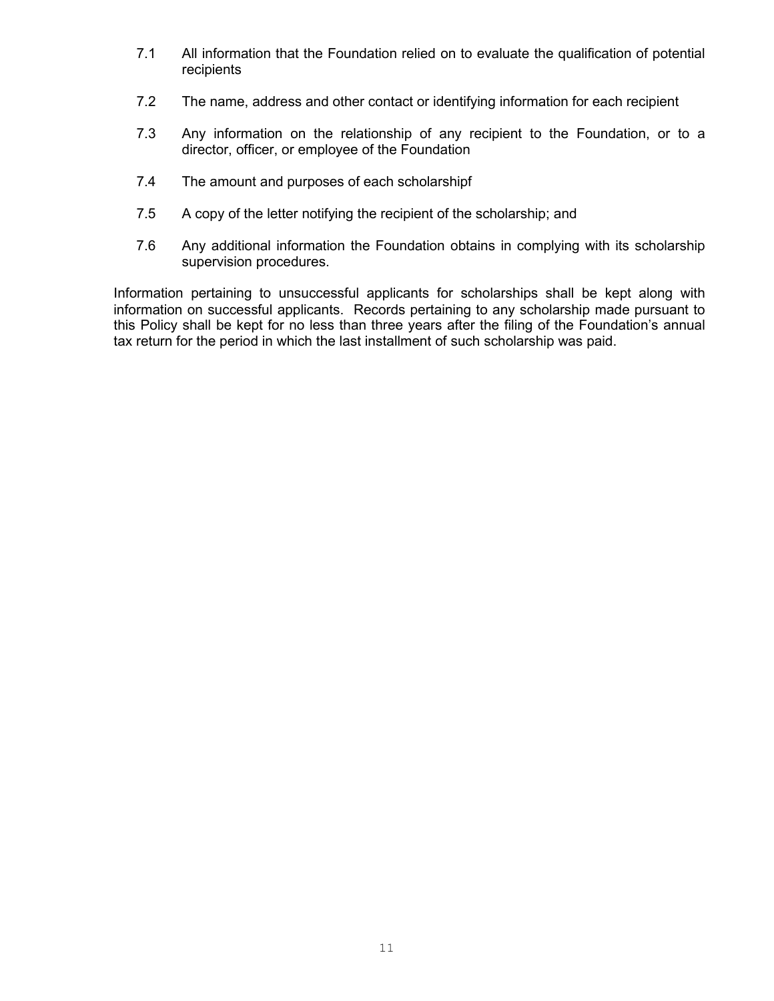- 7.1 All information that the Foundation relied on to evaluate the qualification of potential recipients
- 7.2 The name, address and other contact or identifying information for each recipient
- 7.3 Any information on the relationship of any recipient to the Foundation, or to a director, officer, or employee of the Foundation
- 7.4 The amount and purposes of each scholarshipf
- 7.5 A copy of the letter notifying the recipient of the scholarship; and
- 7.6 Any additional information the Foundation obtains in complying with its scholarship supervision procedures.

Information pertaining to unsuccessful applicants for scholarships shall be kept along with information on successful applicants. Records pertaining to any scholarship made pursuant to this Policy shall be kept for no less than three years after the filing of the Foundation's annual tax return for the period in which the last installment of such scholarship was paid.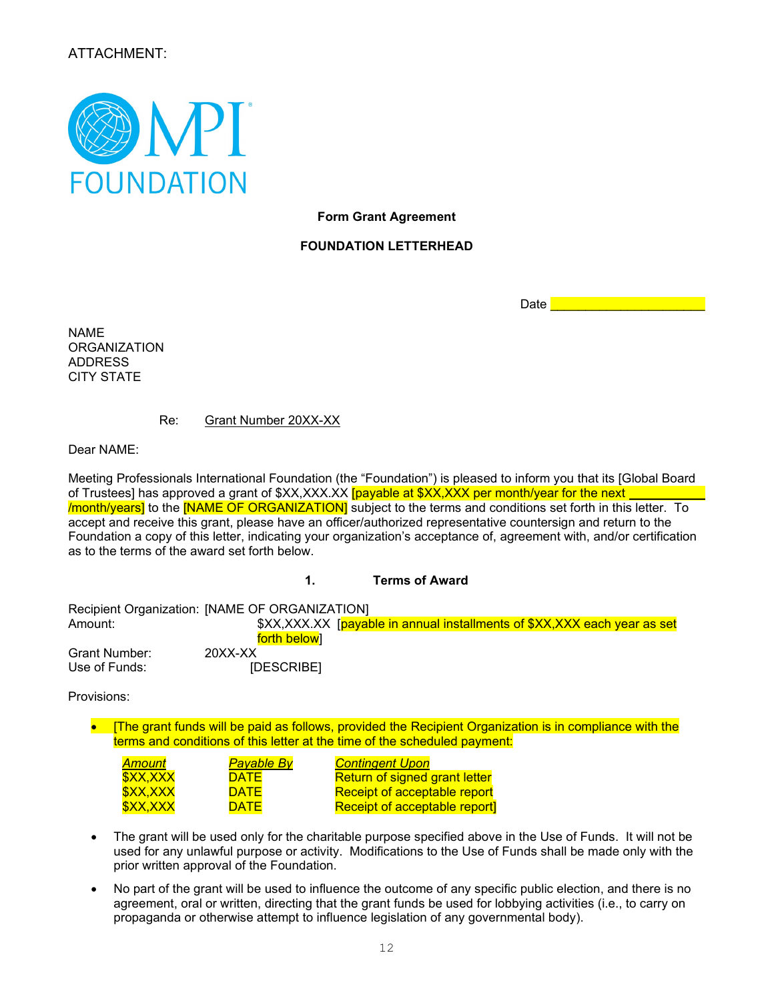# ATTACHMENT:



**Form Grant Agreement** 

#### **FOUNDATION LETTERHEAD**

 $Date \vert$ 

NAME **ORGANIZATION** ADDRESS CITY STATE

#### Re: Grant Number 20XX-XX

Dear NAME:

Meeting Professionals International Foundation (the "Foundation") is pleased to inform you that its [Global Board of Trustees] has approved a grant of \$XX,XXX.XX **[payable at \$XX,XXX per month/year for the next** /month/years] to the [NAME OF ORGANIZATION] subject to the terms and conditions set forth in this letter. To accept and receive this grant, please have an officer/authorized representative countersign and return to the Foundation a copy of this letter, indicating your organization's acceptance of, agreement with, and/or certification as to the terms of the award set forth below.

#### **1. Terms of Award**

Recipient Organization: [NAME OF ORGANIZATION] Amount: **\$XX,XXX.XX** [payable in annual installments of \$XX,XXX each year as set <mark>forth below</mark>]<br>20XX-XX Grant Number: 20XX-XX<br>Use of Funds: [DESCRIBE] Use of Funds:

Provisions:

• [The grant funds will be paid as follows, provided the Recipient Organization is in compliance with the terms and conditions of this letter at the time of the scheduled payment:

| Amount   | <mark>Payable By</mark> | <b>Contingent Upon</b>               |
|----------|-------------------------|--------------------------------------|
| \$XX,XXX | <b>DATE</b>             | <b>Return of signed grant letter</b> |
| \$XX,XXX | <b>DATE</b>             | Receipt of acceptable report         |
| \$XX,XXX | <b>DATE</b>             | <b>Receipt of acceptable report]</b> |

- The grant will be used only for the charitable purpose specified above in the Use of Funds. It will not be used for any unlawful purpose or activity. Modifications to the Use of Funds shall be made only with the prior written approval of the Foundation.
- No part of the grant will be used to influence the outcome of any specific public election, and there is no agreement, oral or written, directing that the grant funds be used for lobbying activities (i.e., to carry on propaganda or otherwise attempt to influence legislation of any governmental body).